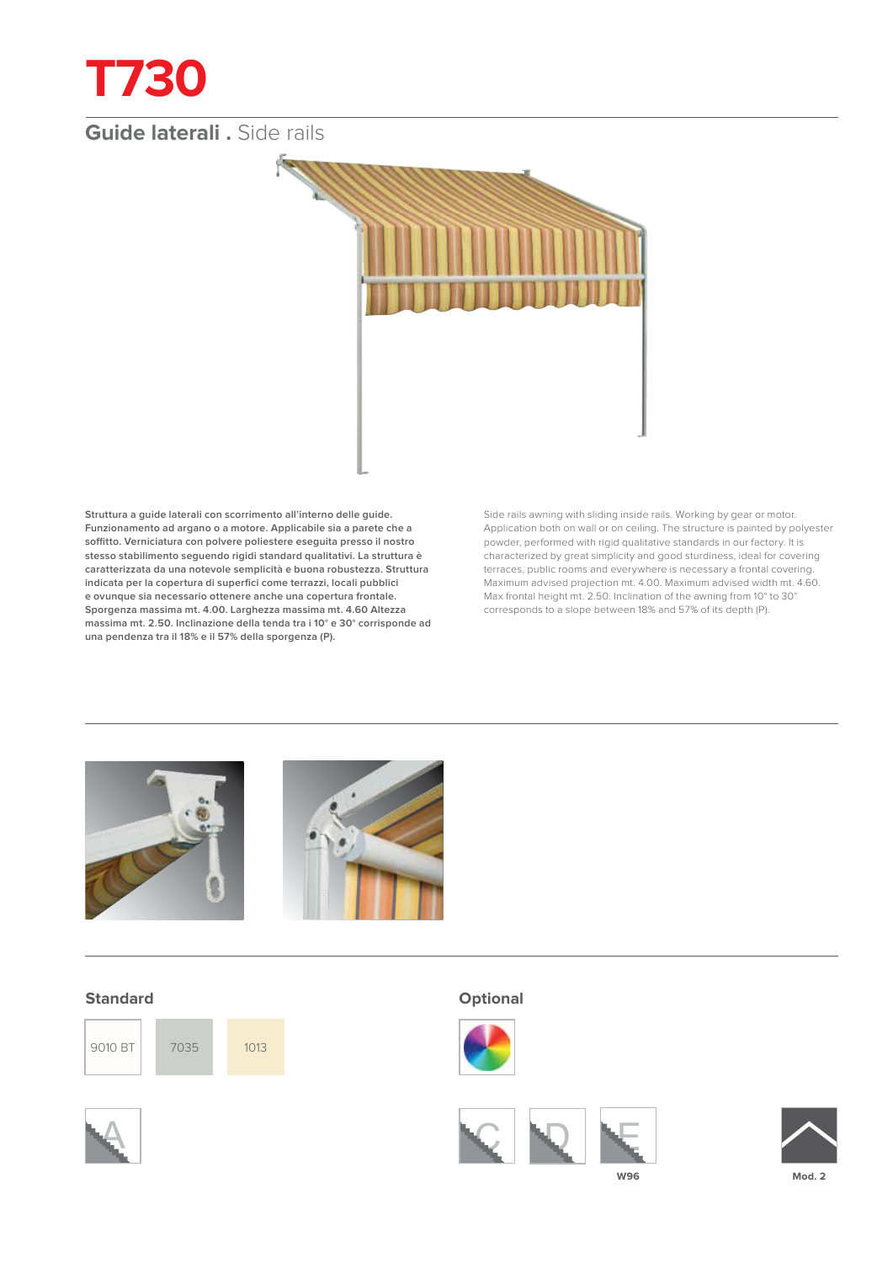## **T730**

## **Guide laterali .** Side rails



**Struttura a guide laterali con scorrimento all'interno delle guide. Funzionamento ad argano o a motore. Applicabile sia a parete che a soffitto. Verniciatura con polvere poliestere eseguita presso il nostro stesso stabilimento seguendo rigidi standard qualitativi. La struttura è caratterizzata da una notevole semplicità e buona robustezza. Struttura indicata per la copertura di superfici come terrazzi, locali pubblici e ovunque sia necessario ottenere anche una copertura frontale. Sporgenza massima mt. 4.00. Larghezza massima mt. 4.60 Altezza massima mt. 2.50. Inclinazione della tenda tra i 10° e 30° corrisponde ad una pendenza tra il 18% e il 57% della sporgenza (P).**

Side rails awning with sliding inside rails. Working by gear or motor. Application both on wall or on ceiling. The structure is painted by polyester powder, performed with rigid qualitative standards in our factory. It is characterized by great simplicity and good sturdiness, ideal for covering terraces, public rooms and everywhere is necessary a frontal covering. Maximum advised projection mt. 4.00. Maximum advised width mt. 4.60. Max frontal height mt. 2.50. Inclination of the awning from 10° to 30° corresponds to a slope between 18% and 57% of its depth (P).



## **Standard Optional**















**W96**